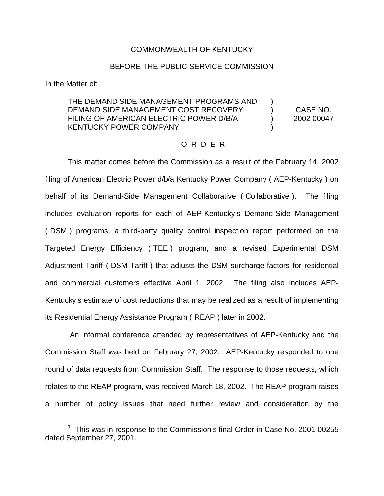### COMMONWEALTH OF KENTUCKY

#### BEFORE THE PUBLIC SERVICE COMMISSION

In the Matter of:

# THE DEMAND SIDE MANAGEMENT PROGRAMS AND DEMAND SIDE MANAGEMENT COST RECOVERY (CASE NO. FILING OF AMERICAN ELECTRIC POWER D/B/A  $2002-00047$ KENTUCKY POWER COMPANY

# O R D E R

This matter comes before the Commission as a result of the February 14, 2002 filing of American Electric Power d/b/a Kentucky Power Company ( AEP-Kentucky ) on behalf of its Demand-Side Management Collaborative ( Collaborative ). The filing includes evaluation reports for each of AEP-Kentucky s Demand-Side Management ( DSM ) programs, a third-party quality control inspection report performed on the Targeted Energy Efficiency ( TEE ) program, and a revised Experimental DSM Adjustment Tariff ( DSM Tariff ) that adjusts the DSM surcharge factors for residential and commercial customers effective April 1, 2002. The filing also includes AEP-Kentucky s estimate of cost reductions that may be realized as a result of implementing its Residential Energy Assistance Program ( $REAP$ ) later in 2002.<sup>1</sup>

An informal conference attended by representatives of AEP-Kentucky and the Commission Staff was held on February 27, 2002. AEP-Kentucky responded to one round of data requests from Commission Staff. The response to those requests, which relates to the REAP program, was received March 18, 2002. The REAP program raises a number of policy issues that need further review and consideration by the

<sup>1</sup> This was in response to the Commission s final Order in Case No. 2001-00255 dated September 27, 2001.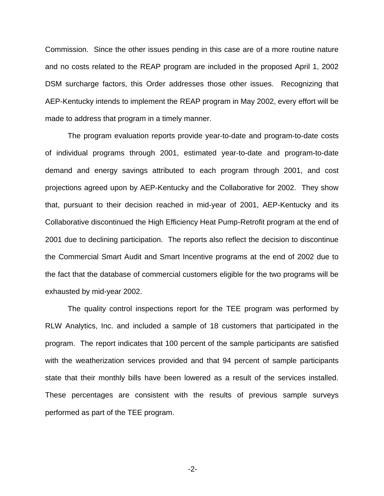Commission. Since the other issues pending in this case are of a more routine nature and no costs related to the REAP program are included in the proposed April 1, 2002 DSM surcharge factors, this Order addresses those other issues. Recognizing that AEP-Kentucky intends to implement the REAP program in May 2002, every effort will be made to address that program in a timely manner.

The program evaluation reports provide year-to-date and program-to-date costs of individual programs through 2001, estimated year-to-date and program-to-date demand and energy savings attributed to each program through 2001, and cost projections agreed upon by AEP-Kentucky and the Collaborative for 2002. They show that, pursuant to their decision reached in mid-year of 2001, AEP-Kentucky and its Collaborative discontinued the High Efficiency Heat Pump-Retrofit program at the end of 2001 due to declining participation. The reports also reflect the decision to discontinue the Commercial Smart Audit and Smart Incentive programs at the end of 2002 due to the fact that the database of commercial customers eligible for the two programs will be exhausted by mid-year 2002.

The quality control inspections report for the TEE program was performed by RLW Analytics, Inc. and included a sample of 18 customers that participated in the program. The report indicates that 100 percent of the sample participants are satisfied with the weatherization services provided and that 94 percent of sample participants state that their monthly bills have been lowered as a result of the services installed. These percentages are consistent with the results of previous sample surveys performed as part of the TEE program.

-2-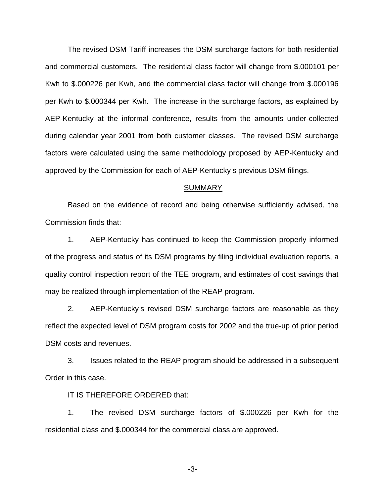The revised DSM Tariff increases the DSM surcharge factors for both residential and commercial customers. The residential class factor will change from \$.000101 per Kwh to \$.000226 per Kwh, and the commercial class factor will change from \$.000196 per Kwh to \$.000344 per Kwh. The increase in the surcharge factors, as explained by AEP-Kentucky at the informal conference, results from the amounts under-collected during calendar year 2001 from both customer classes. The revised DSM surcharge factors were calculated using the same methodology proposed by AEP-Kentucky and approved by the Commission for each of AEP-Kentucky s previous DSM filings.

#### **SUMMARY**

Based on the evidence of record and being otherwise sufficiently advised, the Commission finds that:

1. AEP-Kentucky has continued to keep the Commission properly informed of the progress and status of its DSM programs by filing individual evaluation reports, a quality control inspection report of the TEE program, and estimates of cost savings that may be realized through implementation of the REAP program.

2. AEP-Kentucky s revised DSM surcharge factors are reasonable as they reflect the expected level of DSM program costs for 2002 and the true-up of prior period DSM costs and revenues.

3. Issues related to the REAP program should be addressed in a subsequent Order in this case.

IT IS THEREFORE ORDERED that:

1. The revised DSM surcharge factors of \$.000226 per Kwh for the residential class and \$.000344 for the commercial class are approved.

-3-